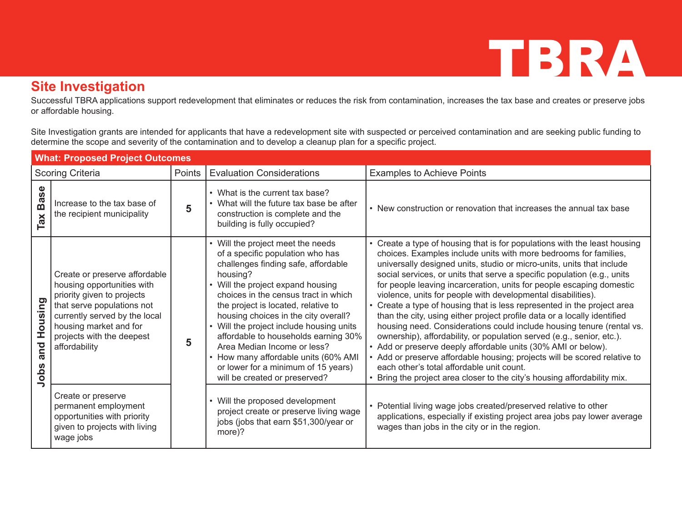#### **Site Investigation**

Successful TBRA applications support redevelopment that eliminates or reduces the risk from contamination, increases the tax base and creates or preserve jobs or affordable housing.

Site Investigation grants are intended for applicants that have a redevelopment site with suspected or perceived contamination and are seeking public funding to determine the scope and severity of the contamination and to develop a cleanup plan for a specific project.

| <b>What: Proposed Project Outcomes</b> |                                                                                                                                                                                                                                  |        |                                                                                                                                                                                                                                                                                                                                                                                                                                                                                                                         |                                                                                                                                                                                                                                                                                                                                                                                                                                                                                                                                                                                                                                                                                                                                                                                                                                                                                                                                                                                                                           |
|----------------------------------------|----------------------------------------------------------------------------------------------------------------------------------------------------------------------------------------------------------------------------------|--------|-------------------------------------------------------------------------------------------------------------------------------------------------------------------------------------------------------------------------------------------------------------------------------------------------------------------------------------------------------------------------------------------------------------------------------------------------------------------------------------------------------------------------|---------------------------------------------------------------------------------------------------------------------------------------------------------------------------------------------------------------------------------------------------------------------------------------------------------------------------------------------------------------------------------------------------------------------------------------------------------------------------------------------------------------------------------------------------------------------------------------------------------------------------------------------------------------------------------------------------------------------------------------------------------------------------------------------------------------------------------------------------------------------------------------------------------------------------------------------------------------------------------------------------------------------------|
| <b>Scoring Criteria</b>                |                                                                                                                                                                                                                                  | Points | <b>Evaluation Considerations</b>                                                                                                                                                                                                                                                                                                                                                                                                                                                                                        | <b>Examples to Achieve Points</b>                                                                                                                                                                                                                                                                                                                                                                                                                                                                                                                                                                                                                                                                                                                                                                                                                                                                                                                                                                                         |
| <b>Base</b><br>Tax                     | Increase to the tax base of<br>the recipient municipality                                                                                                                                                                        | 5      | • What is the current tax base?<br>• What will the future tax base be after<br>construction is complete and the<br>building is fully occupied?                                                                                                                                                                                                                                                                                                                                                                          | • New construction or renovation that increases the annual tax base                                                                                                                                                                                                                                                                                                                                                                                                                                                                                                                                                                                                                                                                                                                                                                                                                                                                                                                                                       |
| Housing<br>and<br>Jobs                 | Create or preserve affordable<br>housing opportunities with<br>priority given to projects<br>that serve populations not<br>currently served by the local<br>housing market and for<br>projects with the deepest<br>affordability | 5      | • Will the project meet the needs<br>of a specific population who has<br>challenges finding safe, affordable<br>housing?<br>• Will the project expand housing<br>choices in the census tract in which<br>the project is located, relative to<br>housing choices in the city overall?<br>• Will the project include housing units<br>affordable to households earning 30%<br>Area Median Income or less?<br>• How many affordable units (60% AMI<br>or lower for a minimum of 15 years)<br>will be created or preserved? | • Create a type of housing that is for populations with the least housing<br>choices. Examples include units with more bedrooms for families,<br>universally designed units, studio or micro-units, units that include<br>social services, or units that serve a specific population (e.g., units<br>for people leaving incarceration, units for people escaping domestic<br>violence, units for people with developmental disabilities).<br>• Create a type of housing that is less represented in the project area<br>than the city, using either project profile data or a locally identified<br>housing need. Considerations could include housing tenure (rental vs.<br>ownership), affordability, or population served (e.g., senior, etc.).<br>• Add or preserve deeply affordable units (30% AMI or below).<br>• Add or preserve affordable housing; projects will be scored relative to<br>each other's total affordable unit count.<br>• Bring the project area closer to the city's housing affordability mix. |
|                                        | Create or preserve<br>permanent employment<br>opportunities with priority<br>given to projects with living<br>wage jobs                                                                                                          |        | • Will the proposed development<br>project create or preserve living wage<br>jobs (jobs that earn \$51,300/year or<br>more)?                                                                                                                                                                                                                                                                                                                                                                                            | • Potential living wage jobs created/preserved relative to other<br>applications, especially if existing project area jobs pay lower average<br>wages than jobs in the city or in the region.                                                                                                                                                                                                                                                                                                                                                                                                                                                                                                                                                                                                                                                                                                                                                                                                                             |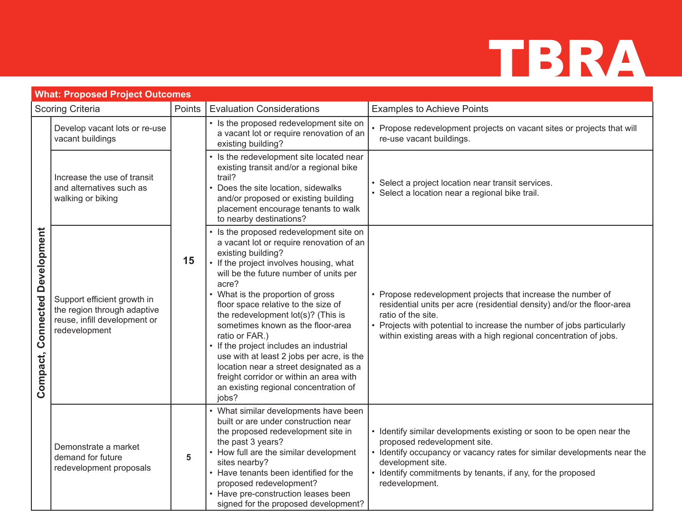| <b>What: Proposed Project Outcomes</b>   |                                                                                                             |                |                                                                                                                                                                                                                                                                                                                                                                                                                                                                                                                                                                                                               |                                                                                                                                                                                                                                                                                                            |  |
|------------------------------------------|-------------------------------------------------------------------------------------------------------------|----------------|---------------------------------------------------------------------------------------------------------------------------------------------------------------------------------------------------------------------------------------------------------------------------------------------------------------------------------------------------------------------------------------------------------------------------------------------------------------------------------------------------------------------------------------------------------------------------------------------------------------|------------------------------------------------------------------------------------------------------------------------------------------------------------------------------------------------------------------------------------------------------------------------------------------------------------|--|
| <b>Scoring Criteria</b>                  |                                                                                                             | Points         | <b>Evaluation Considerations</b>                                                                                                                                                                                                                                                                                                                                                                                                                                                                                                                                                                              | <b>Examples to Achieve Points</b>                                                                                                                                                                                                                                                                          |  |
| <b>Connected Development</b><br>Compact, | Develop vacant lots or re-use<br>vacant buildings                                                           | 15             | • Is the proposed redevelopment site on<br>a vacant lot or require renovation of an<br>existing building?                                                                                                                                                                                                                                                                                                                                                                                                                                                                                                     | • Propose redevelopment projects on vacant sites or projects that will<br>re-use vacant buildings.                                                                                                                                                                                                         |  |
|                                          | Increase the use of transit<br>and alternatives such as<br>walking or biking                                |                | • Is the redevelopment site located near<br>existing transit and/or a regional bike<br>trail?<br>Does the site location, sidewalks<br>and/or proposed or existing building<br>placement encourage tenants to walk<br>to nearby destinations?                                                                                                                                                                                                                                                                                                                                                                  | • Select a project location near transit services.<br>• Select a location near a regional bike trail.                                                                                                                                                                                                      |  |
|                                          | Support efficient growth in<br>the region through adaptive<br>reuse, infill development or<br>redevelopment |                | Is the proposed redevelopment site on<br>a vacant lot or require renovation of an<br>existing building?<br>• If the project involves housing, what<br>will be the future number of units per<br>acre?<br>• What is the proportion of gross<br>floor space relative to the size of<br>the redevelopment lot(s)? (This is<br>sometimes known as the floor-area<br>ratio or FAR.)<br>• If the project includes an industrial<br>use with at least 2 jobs per acre, is the<br>location near a street designated as a<br>freight corridor or within an area with<br>an existing regional concentration of<br>jobs? | • Propose redevelopment projects that increase the number of<br>residential units per acre (residential density) and/or the floor-area<br>ratio of the site.<br>• Projects with potential to increase the number of jobs particularly<br>within existing areas with a high regional concentration of jobs. |  |
|                                          | Demonstrate a market<br>demand for future<br>redevelopment proposals                                        | $5\phantom{1}$ | • What similar developments have been<br>built or are under construction near<br>the proposed redevelopment site in<br>the past 3 years?<br>• How full are the similar development<br>sites nearby?<br>• Have tenants been identified for the<br>proposed redevelopment?<br>• Have pre-construction leases been<br>signed for the proposed development?                                                                                                                                                                                                                                                       | • Identify similar developments existing or soon to be open near the<br>proposed redevelopment site.<br>• Identify occupancy or vacancy rates for similar developments near the<br>development site.<br>• Identify commitments by tenants, if any, for the proposed<br>redevelopment.                      |  |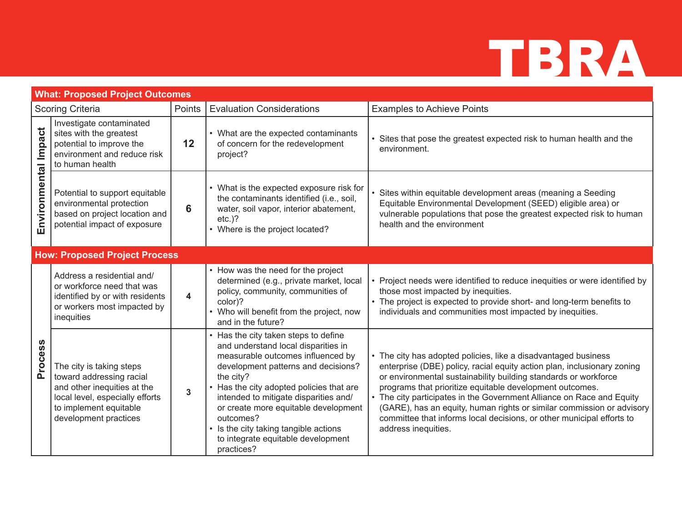| <b>What: Proposed Project Outcomes</b> |                                                                                                                                                                           |                |                                                                                                                                                                                                                                                                                                                                                                                                           |                                                                                                                                                                                                                                                                                                                                                                                                                                                                                                                            |  |  |
|----------------------------------------|---------------------------------------------------------------------------------------------------------------------------------------------------------------------------|----------------|-----------------------------------------------------------------------------------------------------------------------------------------------------------------------------------------------------------------------------------------------------------------------------------------------------------------------------------------------------------------------------------------------------------|----------------------------------------------------------------------------------------------------------------------------------------------------------------------------------------------------------------------------------------------------------------------------------------------------------------------------------------------------------------------------------------------------------------------------------------------------------------------------------------------------------------------------|--|--|
| <b>Scoring Criteria</b>                |                                                                                                                                                                           | Points         | <b>Evaluation Considerations</b>                                                                                                                                                                                                                                                                                                                                                                          | <b>Examples to Achieve Points</b>                                                                                                                                                                                                                                                                                                                                                                                                                                                                                          |  |  |
| Environmental Impact                   | Investigate contaminated<br>sites with the greatest<br>potential to improve the<br>environment and reduce risk<br>to human health                                         | 12             | • What are the expected contaminants<br>of concern for the redevelopment<br>project?                                                                                                                                                                                                                                                                                                                      | • Sites that pose the greatest expected risk to human health and the<br>environment.                                                                                                                                                                                                                                                                                                                                                                                                                                       |  |  |
|                                        | Potential to support equitable<br>environmental protection<br>based on project location and<br>potential impact of exposure                                               | 6              | • What is the expected exposure risk for<br>the contaminants identified (i.e., soil,<br>water, soil vapor, interior abatement,<br>$etc.$ )?<br>• Where is the project located?                                                                                                                                                                                                                            | • Sites within equitable development areas (meaning a Seeding<br>Equitable Environmental Development (SEED) eligible area) or<br>vulnerable populations that pose the greatest expected risk to human<br>health and the environment                                                                                                                                                                                                                                                                                        |  |  |
|                                        | <b>How: Proposed Project Process</b>                                                                                                                                      |                |                                                                                                                                                                                                                                                                                                                                                                                                           |                                                                                                                                                                                                                                                                                                                                                                                                                                                                                                                            |  |  |
| Process                                | Address a residential and/<br>or workforce need that was<br>identified by or with residents<br>or workers most impacted by<br>inequities                                  | 4              | • How was the need for the project<br>determined (e.g., private market, local<br>policy, community, communities of<br>color)?<br>• Who will benefit from the project, now<br>and in the future?                                                                                                                                                                                                           | • Project needs were identified to reduce inequities or were identified by<br>those most impacted by inequities.<br>• The project is expected to provide short- and long-term benefits to<br>individuals and communities most impacted by inequities.                                                                                                                                                                                                                                                                      |  |  |
|                                        | The city is taking steps<br>toward addressing racial<br>and other inequities at the<br>local level, especially efforts<br>to implement equitable<br>development practices | $\overline{3}$ | • Has the city taken steps to define<br>and understand local disparities in<br>measurable outcomes influenced by<br>development patterns and decisions?<br>the city?<br>Has the city adopted policies that are<br>intended to mitigate disparities and/<br>or create more equitable development<br>outcomes?<br>• Is the city taking tangible actions<br>to integrate equitable development<br>practices? | • The city has adopted policies, like a disadvantaged business<br>enterprise (DBE) policy, racial equity action plan, inclusionary zoning<br>or environmental sustainability building standards or workforce<br>programs that prioritize equitable development outcomes.<br>• The city participates in the Government Alliance on Race and Equity<br>(GARE), has an equity, human rights or similar commission or advisory<br>committee that informs local decisions, or other municipal efforts to<br>address inequities. |  |  |